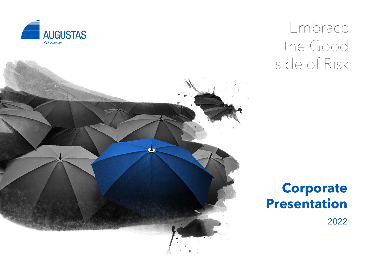

## Embrace the Good side of Risk



### **Corporate Presentation**

2022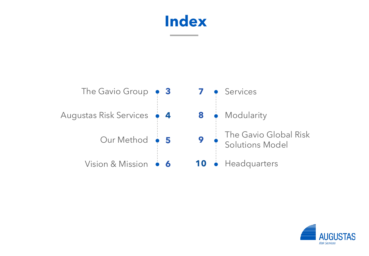### **Index**



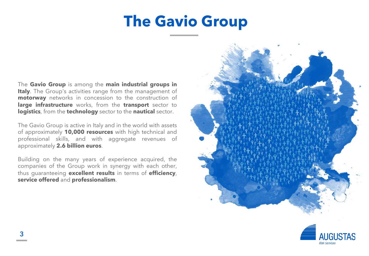## **The Gavio Group**

The **Gavio Group** is among the **main industrial groups in Italy**. The Group's activities range from the management of **motorway** networks in concession to the construction of **large infrastructure** works, from the **transport** sector to **logistics**, from the **technology** sector to the **nautical** sector.

The Gavio Group is active in Italy and in the world with assets of approximately **10,000 resources** with high technical and professional skills, and with aggregate revenues of approximately **2.6 billion euros**.

Building on the many years of experience acquired, the companies of the Group work in synergy with each other, thus guaranteeing **excellent results** in terms of **efficiency**, **service offered** and **professionalism**.



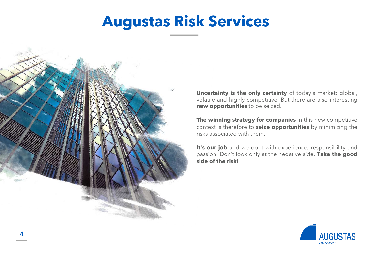## **Augustas Risk Services**



**Uncertainty is the only certainty** of today's market: global, volatile and highly competitive. But there are also interesting **new opportunities** to be seized.

**The winning strategy for companies** in this new competitive context is therefore to **seize opportunities** by minimizing the risks associated with them.

**It's our job** and we do it with experience, responsibility and passion. Don't look only at the negative side. **Take the good side of the risk!**

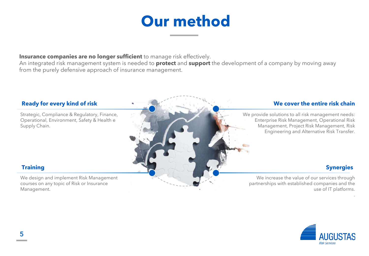### **Our method**

#### **Insurance companies are no longer sufficient** to manage risk effectively.

An integrated risk management system is needed to **protect** and **support** the development of a company by moving away from the purely defensive approach of insurance management.

Strategic, Compliance & Regulatory, Finance, Operational, Environment, Safety & Health e Supply Chain.

We design and implement Risk Management courses on any topic of Risk or Insurance Management.

#### **Ready for every kind of risk and the entire is a set of the entire risk chain**

We provide solutions to all risk management needs: Enterprise Risk Management, Operational Risk Management, Project Risk Management, Risk Engineering and Alternative Risk Transfer.

#### **Training Synergies**

.

We increase the value of our services through partnerships with established companies and the use of IT platforms.

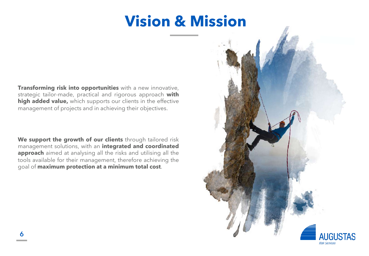## **Vision & Mission**

**Transforming risk into opportunities** with a new innovative, strategic tailor-made, practical and rigorous approach **with high added value,** which supports our clients in the effective management of projects and in achieving their objectives.

**We support the growth of our clients** through tailored risk management solutions, with an **integrated and coordinated approach** aimed at analysing all the risks and utilising all the tools available for their management, therefore achieving the goal of **maximum protection at a minimum total cost**.

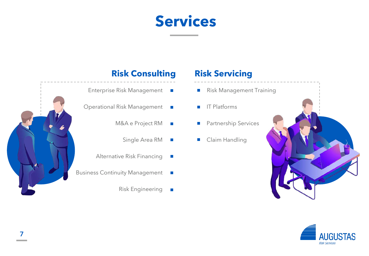### **Services**



#### **Risk Consulting**

- Enterprise Risk Management
- Operational Risk Management
	- M&A e Project RM  $\mathbb{R}^3$ 
		- Single Area RM  $\blacksquare$
	- Alternative Risk Financing  $\mathbb{R}^n$
- Business Continuity Management
	- Risk Engineering  $\mathcal{L}_{\mathcal{A}}$

#### **Risk Servicing**

- Risk Management Training  $\mathcal{L}_{\mathcal{A}}$
- IT Platforms  $\mathcal{L}^{\mathcal{L}}$
- **Partnership Services**
- **Claim Handling**



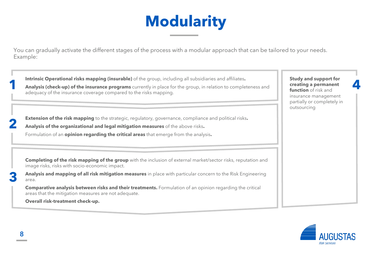# **Modularity**

You can gradually activate the different stages of the process with a modular approach that can be tailored to your needs. Example:

**Intrinsic Operational risks mapping (insurable)** of the group, including all subsidiaries and affiliates**. Analysis (check-up) of the insurance programs** currently in place for the group, in relation to completeness and adequacy of the insurance coverage compared to the risks mapping.

**2 Extension of the risk mapping** to the strategic, regulatory, governance, compliance and political risks**.**

**Analysis of the organizational and legal mitigation measures** of the above risks**.**

Formulation of an **opinion regarding the critical areas** that emerge from the analysis**.**

**Completing of the risk mapping of the group** with the inclusion of external market/sector risks, reputation and image risks, risks with socio-economic impact.

**Analysis and mapping of all risk mitigation measures** in place with particular concern to the Risk Engineering area.

**Comparative analysis between risks and their treatments.** Formulation of an opinion regarding the critical areas that the mitigation measures are not adequate.

**Overall risk-treatment check-up.**

**Study and support for creating a permanent function** of risk and insurance management partially or completely in outsourcing

**4**



**1**

**3**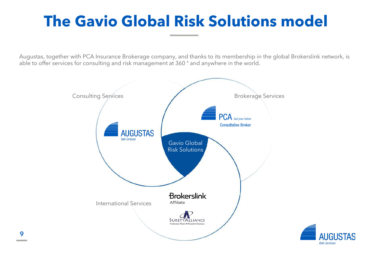# **The Gavio Global Risk Solutions model**

Augustas, together with PCA Insurance Brokerage company, and thanks to its membership in the global Brokerslink network, is able to offer services for consulting and risk management at 360 ° and anywhere in the world.